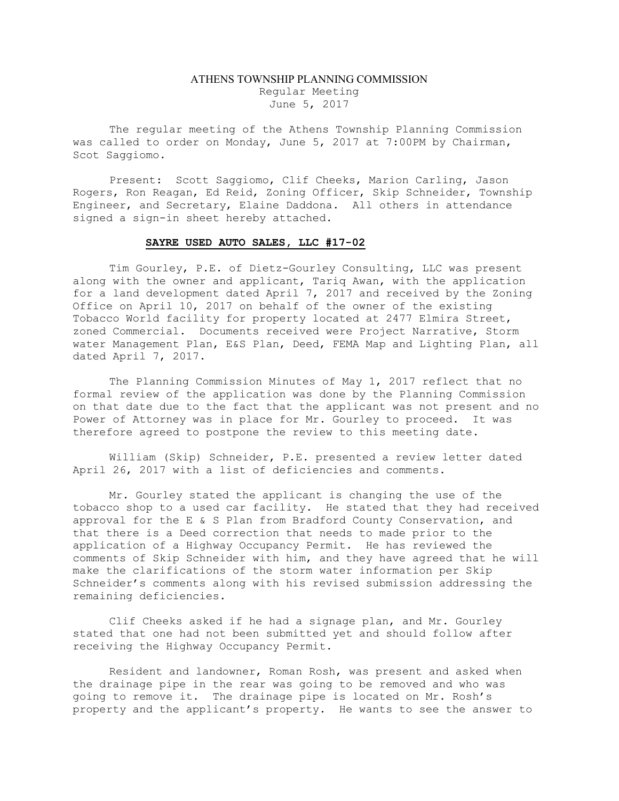## ATHENS TOWNSHIP PLANNING COMMISSION Regular Meeting June 5, 2017

The regular meeting of the Athens Township Planning Commission was called to order on Monday, June 5, 2017 at 7:00PM by Chairman, Scot Saggiomo.

Present: Scott Saggiomo, Clif Cheeks, Marion Carling, Jason Rogers, Ron Reagan, Ed Reid, Zoning Officer, Skip Schneider, Township Engineer, and Secretary, Elaine Daddona. All others in attendance signed a sign-in sheet hereby attached.

## SAYRE USED AUTO SALES, LLC #17-02

 Tim Gourley, P.E. of Dietz-Gourley Consulting, LLC was present along with the owner and applicant, Tariq Awan, with the application for a land development dated April 7, 2017 and received by the Zoning Office on April 10, 2017 on behalf of the owner of the existing Tobacco World facility for property located at 2477 Elmira Street, zoned Commercial. Documents received were Project Narrative, Storm water Management Plan, E&S Plan, Deed, FEMA Map and Lighting Plan, all dated April 7, 2017.

 The Planning Commission Minutes of May 1, 2017 reflect that no formal review of the application was done by the Planning Commission on that date due to the fact that the applicant was not present and no Power of Attorney was in place for Mr. Gourley to proceed. It was therefore agreed to postpone the review to this meeting date.

 William (Skip) Schneider, P.E. presented a review letter dated April 26, 2017 with a list of deficiencies and comments.

 Mr. Gourley stated the applicant is changing the use of the tobacco shop to a used car facility. He stated that they had received approval for the E & S Plan from Bradford County Conservation, and that there is a Deed correction that needs to made prior to the application of a Highway Occupancy Permit. He has reviewed the comments of Skip Schneider with him, and they have agreed that he will make the clarifications of the storm water information per Skip Schneider's comments along with his revised submission addressing the remaining deficiencies.

 Clif Cheeks asked if he had a signage plan, and Mr. Gourley stated that one had not been submitted yet and should follow after receiving the Highway Occupancy Permit.

 Resident and landowner, Roman Rosh, was present and asked when the drainage pipe in the rear was going to be removed and who was going to remove it. The drainage pipe is located on Mr. Rosh's property and the applicant's property. He wants to see the answer to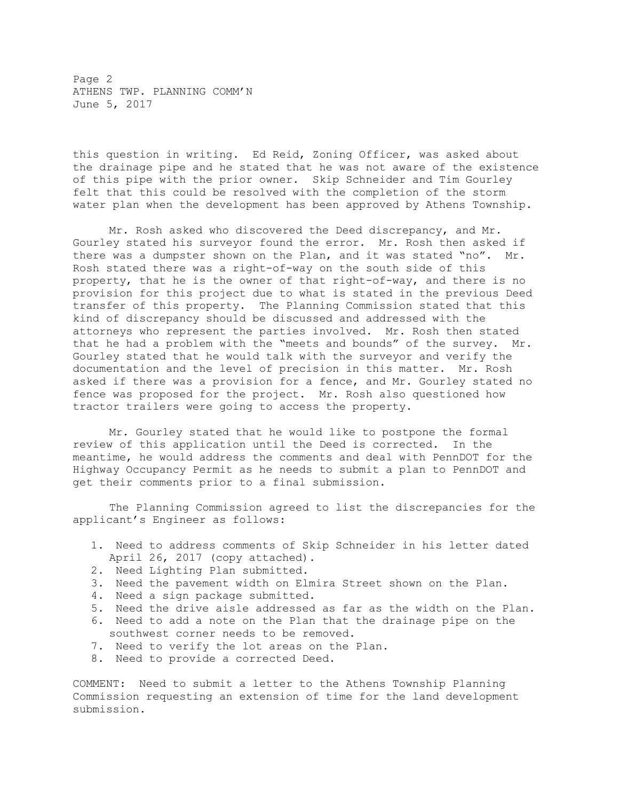Page 2 ATHENS TWP. PLANNING COMM'N June 5, 2017

this question in writing. Ed Reid, Zoning Officer, was asked about the drainage pipe and he stated that he was not aware of the existence of this pipe with the prior owner. Skip Schneider and Tim Gourley felt that this could be resolved with the completion of the storm water plan when the development has been approved by Athens Township.

 Mr. Rosh asked who discovered the Deed discrepancy, and Mr. Gourley stated his surveyor found the error. Mr. Rosh then asked if there was a dumpster shown on the Plan, and it was stated "no". Mr. Rosh stated there was a right-of-way on the south side of this property, that he is the owner of that right-of-way, and there is no provision for this project due to what is stated in the previous Deed transfer of this property. The Planning Commission stated that this kind of discrepancy should be discussed and addressed with the attorneys who represent the parties involved. Mr. Rosh then stated that he had a problem with the "meets and bounds" of the survey. Mr. Gourley stated that he would talk with the surveyor and verify the documentation and the level of precision in this matter. Mr. Rosh asked if there was a provision for a fence, and Mr. Gourley stated no fence was proposed for the project. Mr. Rosh also questioned how tractor trailers were going to access the property.

 Mr. Gourley stated that he would like to postpone the formal review of this application until the Deed is corrected. In the meantime, he would address the comments and deal with PennDOT for the Highway Occupancy Permit as he needs to submit a plan to PennDOT and get their comments prior to a final submission.

 The Planning Commission agreed to list the discrepancies for the applicant's Engineer as follows:

- 1. Need to address comments of Skip Schneider in his letter dated April 26, 2017 (copy attached).
- 2. Need Lighting Plan submitted.
- 3. Need the pavement width on Elmira Street shown on the Plan.
- 4. Need a sign package submitted.
- 5. Need the drive aisle addressed as far as the width on the Plan.
- 6. Need to add a note on the Plan that the drainage pipe on the southwest corner needs to be removed.
- 7. Need to verify the lot areas on the Plan.
- 8. Need to provide a corrected Deed.

COMMENT: Need to submit a letter to the Athens Township Planning Commission requesting an extension of time for the land development submission.